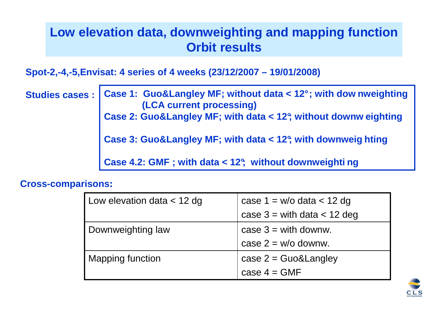# **Low elevation data, downweighting and mapping functionOrbit results**

**Spot-2,-4,-5,Envisat: 4 series of 4 weeks (23/12/2007 – 19/01/2008)**

**Studies cases : Case 1: Guo&Langley MF; without data < 12° ; with dow nweighting (LCA current processing) Case 2: Guo&Langley MF; with data < 12°; without downw eighting Case 3: Guo&Langley MF; with data < 12°; with downweig hting Case 4.2: GMF ; with data < 12°; without downweighti ng**

#### **Cross-comparisons:**

| Low elevation data $<$ 12 dg | case $1 = w/o$ data $< 12$ dg   |
|------------------------------|---------------------------------|
|                              | case $3 =$ with data $<$ 12 deg |
| Downweighting law            | case $3 =$ with downw.          |
|                              | case $2 = w/o$ downw.           |
| <b>Mapping function</b>      | case $2 = Guo&Language$         |
|                              | case $4 = GMF$                  |

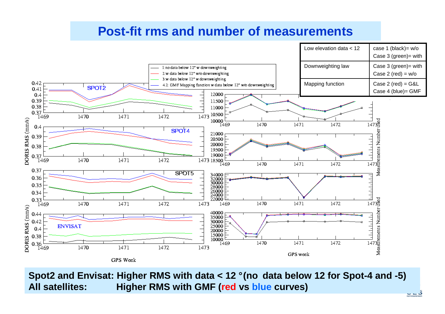## **Post-fit rms and number of measurements**



**Spot2 and Envisat: Higher RMS with data < 12 ° (no data below 12 for Spot-4 and -5)All satellites: Higher RMS with GMF (red vs blue curves)**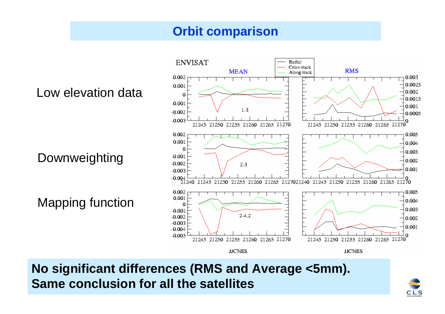## **Orbit comparison**



**No significant differences (RMS and Average <5mm). Same conclusion for all the satellites**

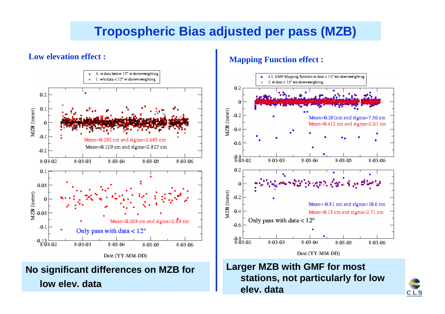# **Tropospheric Bias adjusted per pass (MZB)**

#### **Low elevation effect :**



#### **Mapping Function effect :**



### **Larger MZB with GMF for most stations, not particularly for low elev. data**